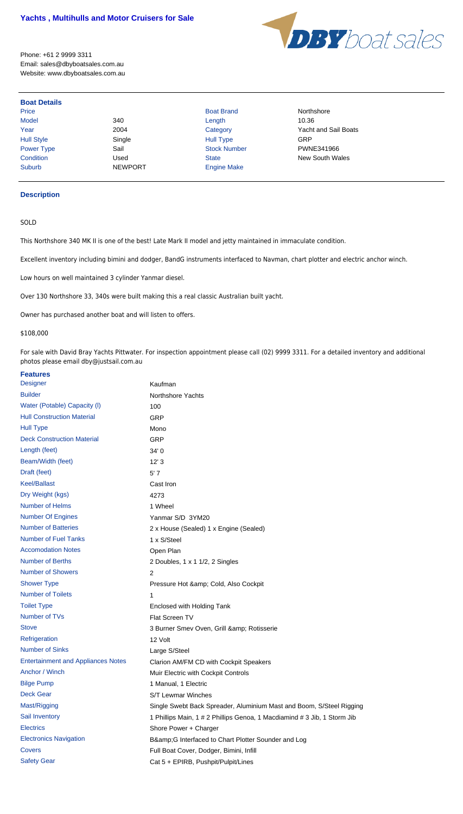

Phone: +61 2 9999 3311 Email: sales@dbyboatsales.com.au Website: www.dbyboatsales.com.au

Year 2004 Category Yacht and Sail Boats **Condition** Used Used State State New South Wales

# **Boat Details**

Price **Boat Brand Northshore Boat Brand Northshore** Model 340 Length 10.36 Hull Style Single Hull Type GRP Power Type Sail Sail Stock Number PWNE341966 Suburb NEWPORT Engine Make

## **Description**

## SOLD

This Northshore 340 MK II is one of the best! Late Mark II model and jetty maintained in immaculate condition.

Excellent inventory including bimini and dodger, BandG instruments interfaced to Navman, chart plotter and electric anchor winch.

Low hours on well maintained 3 cylinder Yanmar diesel.

Over 130 Northshore 33, 340s were built making this a real classic Australian built yacht.

Owner has purchased another boat and will listen to offers.

### \$108,000

For sale with David Bray Yachts Pittwater. For inspection appointment please call (02) 9999 3311. For a detailed inventory and additional photos please email dby@justsail.com.au

### **Features**

| <b>Designer</b>                           | Kaufman                                                                  |
|-------------------------------------------|--------------------------------------------------------------------------|
| <b>Builder</b>                            | Northshore Yachts                                                        |
| Water (Potable) Capacity (I)              | 100                                                                      |
| <b>Hull Construction Material</b>         | <b>GRP</b>                                                               |
| <b>Hull Type</b>                          | Mono                                                                     |
| <b>Deck Construction Material</b>         | <b>GRP</b>                                                               |
| Length (feet)                             | 34'0                                                                     |
| Beam/Width (feet)                         | 12'3                                                                     |
| Draft (feet)                              | 5'7                                                                      |
| <b>Keel/Ballast</b>                       | Cast Iron                                                                |
| Dry Weight (kgs)                          | 4273                                                                     |
| <b>Number of Helms</b>                    | 1 Wheel                                                                  |
| <b>Number Of Engines</b>                  | Yanmar S/D 3YM20                                                         |
| <b>Number of Batteries</b>                | 2 x House (Sealed) 1 x Engine (Sealed)                                   |
| <b>Number of Fuel Tanks</b>               | 1 x S/Steel                                                              |
| <b>Accomodation Notes</b>                 | Open Plan                                                                |
| <b>Number of Berths</b>                   | 2 Doubles, 1 x 1 1/2, 2 Singles                                          |
| <b>Number of Showers</b>                  | 2                                                                        |
| <b>Shower Type</b>                        | Pressure Hot & Cold, Also Cockpit                                        |
| <b>Number of Toilets</b>                  |                                                                          |
| <b>Toilet Type</b>                        | Enclosed with Holding Tank                                               |
| Number of TVs                             | Flat Screen TV                                                           |
| <b>Stove</b>                              | 3 Burner Smev Oven, Grill & Rotisserie                                   |
| Refrigeration                             | 12 Volt                                                                  |
| <b>Number of Sinks</b>                    | Large S/Steel                                                            |
| <b>Entertainment and Appliances Notes</b> | Clarion AM/FM CD with Cockpit Speakers                                   |
| Anchor / Winch                            | Muir Electric with Cockpit Controls                                      |
| <b>Bilge Pump</b>                         | 1 Manual, 1 Electric                                                     |
| <b>Deck Gear</b>                          | S/T Lewmar Winches                                                       |
| Mast/Rigging                              | Single Swebt Back Spreader, Aluminium Mast and Boom, S/Steel Rigging     |
| Sail Inventory                            | 1 Phillips Main, 1 # 2 Phillips Genoa, 1 Macdiamind # 3 Jib, 1 Storm Jib |
| <b>Electrics</b>                          | Shore Power + Charger                                                    |
| <b>Electronics Navigation</b>             | B& G Interfaced to Chart Plotter Sounder and Log                         |
| Covers                                    | Full Boat Cover, Dodger, Bimini, Infill                                  |
| <b>Safety Gear</b>                        | Cat 5 + EPIRB, Pushpit/Pulpit/Lines                                      |